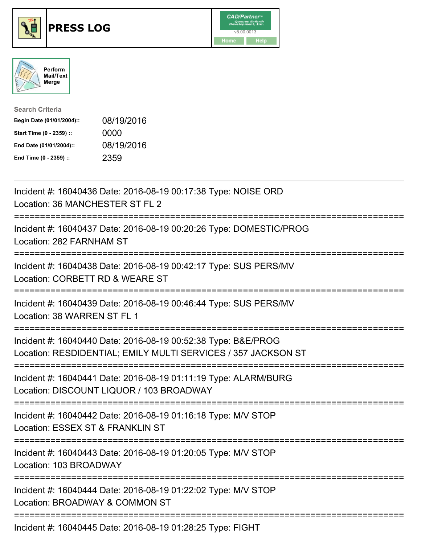





| <b>Search Criteria</b>    |            |
|---------------------------|------------|
| Begin Date (01/01/2004):: | 08/19/2016 |
| Start Time (0 - 2359) ::  | 0000       |
| End Date (01/01/2004)::   | 08/19/2016 |
| End Time (0 - 2359) ::    | 2359       |

| Incident #: 16040436 Date: 2016-08-19 00:17:38 Type: NOISE ORD<br>Location: 36 MANCHESTER ST FL 2                                                                  |
|--------------------------------------------------------------------------------------------------------------------------------------------------------------------|
| Incident #: 16040437 Date: 2016-08-19 00:20:26 Type: DOMESTIC/PROG<br>Location: 282 FARNHAM ST                                                                     |
| Incident #: 16040438 Date: 2016-08-19 00:42:17 Type: SUS PERS/MV<br>Location: CORBETT RD & WEARE ST                                                                |
| Incident #: 16040439 Date: 2016-08-19 00:46:44 Type: SUS PERS/MV<br>Location: 38 WARREN ST FL 1                                                                    |
| Incident #: 16040440 Date: 2016-08-19 00:52:38 Type: B&E/PROG<br>Location: RESDIDENTIAL; EMILY MULTI SERVICES / 357 JACKSON ST<br>-------------------------------- |
| Incident #: 16040441 Date: 2016-08-19 01:11:19 Type: ALARM/BURG<br>Location: DISCOUNT LIQUOR / 103 BROADWAY<br>:========================                           |
| Incident #: 16040442 Date: 2016-08-19 01:16:18 Type: M/V STOP<br>Location: ESSEX ST & FRANKLIN ST                                                                  |
| Incident #: 16040443 Date: 2016-08-19 01:20:05 Type: M/V STOP<br>Location: 103 BROADWAY                                                                            |
| Incident #: 16040444 Date: 2016-08-19 01:22:02 Type: M/V STOP<br>Location: BROADWAY & COMMON ST                                                                    |
| Incident #: 16040445 Date: 2016-08-19 01:28:25 Type: FIGHT                                                                                                         |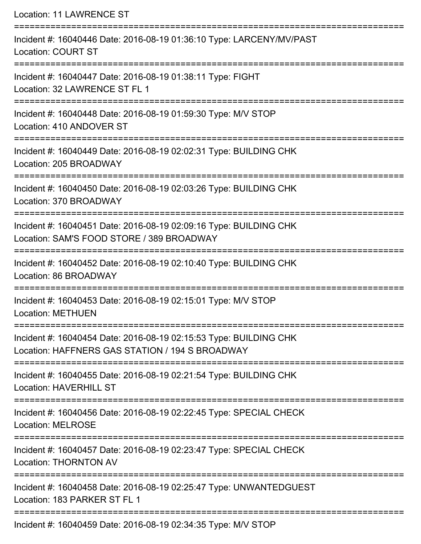Location: 11 LAWRENCE ST

| Incident #: 16040446 Date: 2016-08-19 01:36:10 Type: LARCENY/MV/PAST<br><b>Location: COURT ST</b>                    |
|----------------------------------------------------------------------------------------------------------------------|
| Incident #: 16040447 Date: 2016-08-19 01:38:11 Type: FIGHT<br>Location: 32 LAWRENCE ST FL 1                          |
| Incident #: 16040448 Date: 2016-08-19 01:59:30 Type: M/V STOP<br>Location: 410 ANDOVER ST                            |
| Incident #: 16040449 Date: 2016-08-19 02:02:31 Type: BUILDING CHK<br>Location: 205 BROADWAY                          |
| Incident #: 16040450 Date: 2016-08-19 02:03:26 Type: BUILDING CHK<br>Location: 370 BROADWAY                          |
| Incident #: 16040451 Date: 2016-08-19 02:09:16 Type: BUILDING CHK<br>Location: SAM'S FOOD STORE / 389 BROADWAY       |
| Incident #: 16040452 Date: 2016-08-19 02:10:40 Type: BUILDING CHK<br>Location: 86 BROADWAY                           |
| Incident #: 16040453 Date: 2016-08-19 02:15:01 Type: M/V STOP<br><b>Location: METHUEN</b>                            |
| Incident #: 16040454 Date: 2016-08-19 02:15:53 Type: BUILDING CHK<br>Location: HAFFNERS GAS STATION / 194 S BROADWAY |
| Incident #: 16040455 Date: 2016-08-19 02:21:54 Type: BUILDING CHK<br><b>Location: HAVERHILL ST</b>                   |
| Incident #: 16040456 Date: 2016-08-19 02:22:45 Type: SPECIAL CHECK<br><b>Location: MELROSE</b>                       |
| Incident #: 16040457 Date: 2016-08-19 02:23:47 Type: SPECIAL CHECK<br><b>Location: THORNTON AV</b>                   |
| Incident #: 16040458 Date: 2016-08-19 02:25:47 Type: UNWANTEDGUEST<br>Location: 183 PARKER ST FL 1                   |
| Incident #: 16040459 Date: 2016-08-19 02:34:35 Type: M/V STOP                                                        |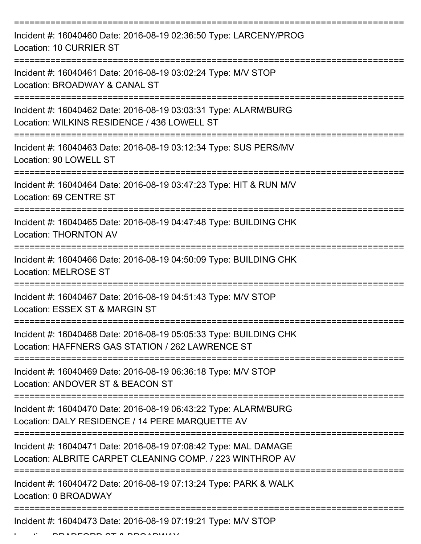| Incident #: 16040460 Date: 2016-08-19 02:36:50 Type: LARCENY/PROG<br>Location: 10 CURRIER ST                                 |
|------------------------------------------------------------------------------------------------------------------------------|
| Incident #: 16040461 Date: 2016-08-19 03:02:24 Type: M/V STOP<br>Location: BROADWAY & CANAL ST                               |
| Incident #: 16040462 Date: 2016-08-19 03:03:31 Type: ALARM/BURG<br>Location: WILKINS RESIDENCE / 436 LOWELL ST               |
| Incident #: 16040463 Date: 2016-08-19 03:12:34 Type: SUS PERS/MV<br>Location: 90 LOWELL ST                                   |
| Incident #: 16040464 Date: 2016-08-19 03:47:23 Type: HIT & RUN M/V<br>Location: 69 CENTRE ST                                 |
| Incident #: 16040465 Date: 2016-08-19 04:47:48 Type: BUILDING CHK<br><b>Location: THORNTON AV</b>                            |
| Incident #: 16040466 Date: 2016-08-19 04:50:09 Type: BUILDING CHK<br><b>Location: MELROSE ST</b>                             |
| Incident #: 16040467 Date: 2016-08-19 04:51:43 Type: M/V STOP<br>Location: ESSEX ST & MARGIN ST                              |
| Incident #: 16040468 Date: 2016-08-19 05:05:33 Type: BUILDING CHK<br>Location: HAFFNERS GAS STATION / 262 LAWRENCE ST        |
| Incident #: 16040469 Date: 2016-08-19 06:36:18 Type: M/V STOP<br>Location: ANDOVER ST & BEACON ST                            |
| Incident #: 16040470 Date: 2016-08-19 06:43:22 Type: ALARM/BURG<br>Location: DALY RESIDENCE / 14 PERE MARQUETTE AV           |
| Incident #: 16040471 Date: 2016-08-19 07:08:42 Type: MAL DAMAGE<br>Location: ALBRITE CARPET CLEANING COMP. / 223 WINTHROP AV |
| Incident #: 16040472 Date: 2016-08-19 07:13:24 Type: PARK & WALK<br>Location: 0 BROADWAY                                     |
| Incident #: 16040473 Date: 2016-08-19 07:19:21 Type: M/V STOP                                                                |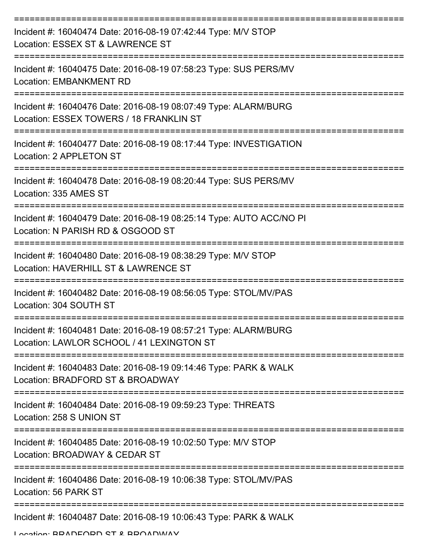| Incident #: 16040474 Date: 2016-08-19 07:42:44 Type: M/V STOP<br>Location: ESSEX ST & LAWRENCE ST            |
|--------------------------------------------------------------------------------------------------------------|
| Incident #: 16040475 Date: 2016-08-19 07:58:23 Type: SUS PERS/MV<br><b>Location: EMBANKMENT RD</b>           |
| Incident #: 16040476 Date: 2016-08-19 08:07:49 Type: ALARM/BURG<br>Location: ESSEX TOWERS / 18 FRANKLIN ST   |
| Incident #: 16040477 Date: 2016-08-19 08:17:44 Type: INVESTIGATION<br>Location: 2 APPLETON ST                |
| Incident #: 16040478 Date: 2016-08-19 08:20:44 Type: SUS PERS/MV<br>Location: 335 AMES ST                    |
| Incident #: 16040479 Date: 2016-08-19 08:25:14 Type: AUTO ACC/NO PI<br>Location: N PARISH RD & OSGOOD ST     |
| Incident #: 16040480 Date: 2016-08-19 08:38:29 Type: M/V STOP<br>Location: HAVERHILL ST & LAWRENCE ST        |
| Incident #: 16040482 Date: 2016-08-19 08:56:05 Type: STOL/MV/PAS<br>Location: 304 SOUTH ST                   |
| Incident #: 16040481 Date: 2016-08-19 08:57:21 Type: ALARM/BURG<br>Location: LAWLOR SCHOOL / 41 LEXINGTON ST |
| Incident #: 16040483 Date: 2016-08-19 09:14:46 Type: PARK & WALK<br>Location: BRADFORD ST & BROADWAY         |
| Incident #: 16040484 Date: 2016-08-19 09:59:23 Type: THREATS<br>Location: 258 S UNION ST                     |
| Incident #: 16040485 Date: 2016-08-19 10:02:50 Type: M/V STOP<br>Location: BROADWAY & CEDAR ST               |
| Incident #: 16040486 Date: 2016-08-19 10:06:38 Type: STOL/MV/PAS<br>Location: 56 PARK ST                     |
| Incident #: 16040487 Date: 2016-08-19 10:06:43 Type: PARK & WALK                                             |

Location: BRADFORD ST & BROADWAY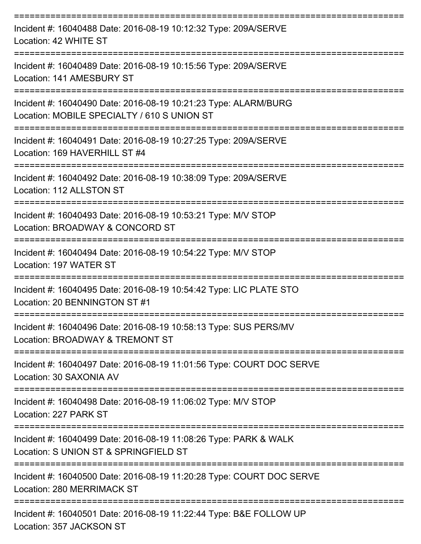| Incident #: 16040488 Date: 2016-08-19 10:12:32 Type: 209A/SERVE<br>Location: 42 WHITE ST                                     |
|------------------------------------------------------------------------------------------------------------------------------|
| Incident #: 16040489 Date: 2016-08-19 10:15:56 Type: 209A/SERVE<br>Location: 141 AMESBURY ST                                 |
| Incident #: 16040490 Date: 2016-08-19 10:21:23 Type: ALARM/BURG<br>Location: MOBILE SPECIALTY / 610 S UNION ST               |
| Incident #: 16040491 Date: 2016-08-19 10:27:25 Type: 209A/SERVE<br>Location: 169 HAVERHILL ST #4                             |
| :============================<br>Incident #: 16040492 Date: 2016-08-19 10:38:09 Type: 209A/SERVE<br>Location: 112 ALLSTON ST |
| Incident #: 16040493 Date: 2016-08-19 10:53:21 Type: M/V STOP<br>Location: BROADWAY & CONCORD ST                             |
| Incident #: 16040494 Date: 2016-08-19 10:54:22 Type: M/V STOP<br>Location: 197 WATER ST                                      |
| Incident #: 16040495 Date: 2016-08-19 10:54:42 Type: LIC PLATE STO<br>Location: 20 BENNINGTON ST #1                          |
| Incident #: 16040496 Date: 2016-08-19 10:58:13 Type: SUS PERS/MV<br>Location: BROADWAY & TREMONT ST                          |
| Incident #: 16040497 Date: 2016-08-19 11:01:56 Type: COURT DOC SERVE<br>Location: 30 SAXONIA AV                              |
| Incident #: 16040498 Date: 2016-08-19 11:06:02 Type: M/V STOP<br>Location: 227 PARK ST                                       |
| Incident #: 16040499 Date: 2016-08-19 11:08:26 Type: PARK & WALK<br>Location: S UNION ST & SPRINGFIELD ST                    |
| Incident #: 16040500 Date: 2016-08-19 11:20:28 Type: COURT DOC SERVE<br>Location: 280 MERRIMACK ST                           |
| Incident #: 16040501 Date: 2016-08-19 11:22:44 Type: B&E FOLLOW UP                                                           |

Location: 357 JACKSON ST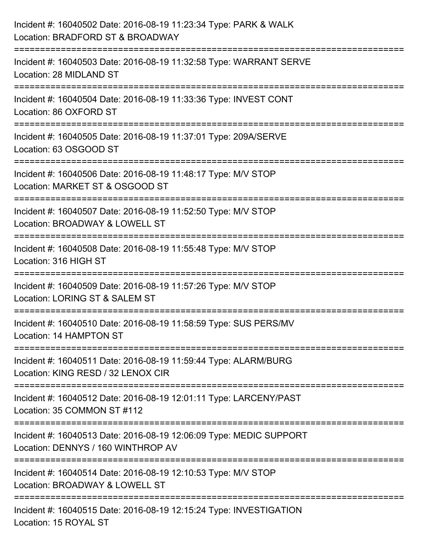| Incident #: 16040502 Date: 2016-08-19 11:23:34 Type: PARK & WALK<br>Location: BRADFORD ST & BROADWAY                      |
|---------------------------------------------------------------------------------------------------------------------------|
| ;=======================<br>Incident #: 16040503 Date: 2016-08-19 11:32:58 Type: WARRANT SERVE<br>Location: 28 MIDLAND ST |
| Incident #: 16040504 Date: 2016-08-19 11:33:36 Type: INVEST CONT<br>Location: 86 OXFORD ST                                |
| Incident #: 16040505 Date: 2016-08-19 11:37:01 Type: 209A/SERVE<br>Location: 63 OSGOOD ST                                 |
| Incident #: 16040506 Date: 2016-08-19 11:48:17 Type: M/V STOP<br>Location: MARKET ST & OSGOOD ST                          |
| Incident #: 16040507 Date: 2016-08-19 11:52:50 Type: M/V STOP<br>Location: BROADWAY & LOWELL ST                           |
| :=======================<br>Incident #: 16040508 Date: 2016-08-19 11:55:48 Type: M/V STOP<br>Location: 316 HIGH ST        |
| Incident #: 16040509 Date: 2016-08-19 11:57:26 Type: M/V STOP<br>Location: LORING ST & SALEM ST                           |
| Incident #: 16040510 Date: 2016-08-19 11:58:59 Type: SUS PERS/MV<br>Location: 14 HAMPTON ST                               |
| Incident #: 16040511 Date: 2016-08-19 11:59:44 Type: ALARM/BURG<br>Location: KING RESD / 32 LENOX CIR                     |
| Incident #: 16040512 Date: 2016-08-19 12:01:11 Type: LARCENY/PAST<br>Location: 35 COMMON ST #112                          |
| Incident #: 16040513 Date: 2016-08-19 12:06:09 Type: MEDIC SUPPORT<br>Location: DENNYS / 160 WINTHROP AV                  |
| Incident #: 16040514 Date: 2016-08-19 12:10:53 Type: M/V STOP<br>Location: BROADWAY & LOWELL ST                           |
| -------------------------<br>Incident #: 16040515 Date: 2016-08-19 12:15:24 Type: INVESTIGATION<br>Location: 15 ROYAL ST  |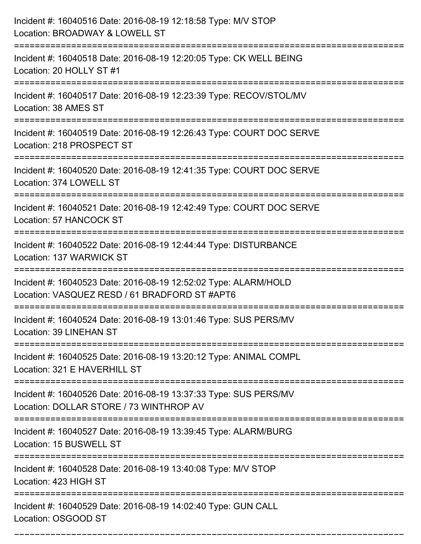| Incident #: 16040516 Date: 2016-08-19 12:18:58 Type: M/V STOP<br>Location: BROADWAY & LOWELL ST                  |
|------------------------------------------------------------------------------------------------------------------|
| Incident #: 16040518 Date: 2016-08-19 12:20:05 Type: CK WELL BEING<br>Location: 20 HOLLY ST #1                   |
| Incident #: 16040517 Date: 2016-08-19 12:23:39 Type: RECOV/STOL/MV<br>Location: 38 AMES ST                       |
| Incident #: 16040519 Date: 2016-08-19 12:26:43 Type: COURT DOC SERVE<br>Location: 218 PROSPECT ST                |
| Incident #: 16040520 Date: 2016-08-19 12:41:35 Type: COURT DOC SERVE<br>Location: 374 LOWELL ST                  |
| Incident #: 16040521 Date: 2016-08-19 12:42:49 Type: COURT DOC SERVE<br>Location: 57 HANCOCK ST                  |
| Incident #: 16040522 Date: 2016-08-19 12:44:44 Type: DISTURBANCE<br>Location: 137 WARWICK ST                     |
| Incident #: 16040523 Date: 2016-08-19 12:52:02 Type: ALARM/HOLD<br>Location: VASQUEZ RESD / 61 BRADFORD ST #APT6 |
| Incident #: 16040524 Date: 2016-08-19 13:01:46 Type: SUS PERS/MV<br><b>Location: 39 LINEHAN ST</b>               |
| Incident #: 16040525 Date: 2016-08-19 13:20:12 Type: ANIMAL COMPL<br>Location: 321 E HAVERHILL ST                |
| Incident #: 16040526 Date: 2016-08-19 13:37:33 Type: SUS PERS/MV<br>Location: DOLLAR STORE / 73 WINTHROP AV      |
| Incident #: 16040527 Date: 2016-08-19 13:39:45 Type: ALARM/BURG<br>Location: 15 BUSWELL ST                       |
| Incident #: 16040528 Date: 2016-08-19 13:40:08 Type: M/V STOP<br>Location: 423 HIGH ST                           |
| Incident #: 16040529 Date: 2016-08-19 14:02:40 Type: GUN CALL<br>Location: OSGOOD ST                             |

===========================================================================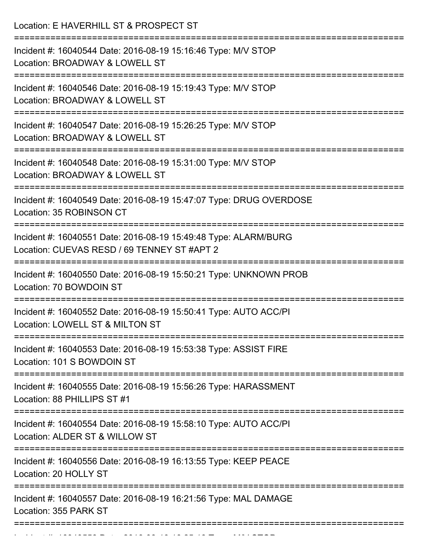| Location: E HAVERHILL ST & PROSPECT ST                                                                                                                |
|-------------------------------------------------------------------------------------------------------------------------------------------------------|
| Incident #: 16040544 Date: 2016-08-19 15:16:46 Type: M/V STOP<br>Location: BROADWAY & LOWELL ST<br>:=========================                         |
| Incident #: 16040546 Date: 2016-08-19 15:19:43 Type: M/V STOP<br>Location: BROADWAY & LOWELL ST<br>========================                           |
| Incident #: 16040547 Date: 2016-08-19 15:26:25 Type: M/V STOP<br>Location: BROADWAY & LOWELL ST                                                       |
| Incident #: 16040548 Date: 2016-08-19 15:31:00 Type: M/V STOP<br>Location: BROADWAY & LOWELL ST                                                       |
| Incident #: 16040549 Date: 2016-08-19 15:47:07 Type: DRUG OVERDOSE<br>Location: 35 ROBINSON CT                                                        |
| Incident #: 16040551 Date: 2016-08-19 15:49:48 Type: ALARM/BURG<br>Location: CUEVAS RESD / 69 TENNEY ST #APT 2<br>----------------------------------- |
| Incident #: 16040550 Date: 2016-08-19 15:50:21 Type: UNKNOWN PROB<br>Location: 70 BOWDOIN ST                                                          |
| Incident #: 16040552 Date: 2016-08-19 15:50:41 Type: AUTO ACC/PI<br>Location: LOWELL ST & MILTON ST                                                   |
| Incident #: 16040553 Date: 2016-08-19 15:53:38 Type: ASSIST FIRE<br>Location: 101 S BOWDOIN ST                                                        |
| Incident #: 16040555 Date: 2016-08-19 15:56:26 Type: HARASSMENT<br>Location: 88 PHILLIPS ST #1                                                        |
| Incident #: 16040554 Date: 2016-08-19 15:58:10 Type: AUTO ACC/PI<br>Location: ALDER ST & WILLOW ST                                                    |
| Incident #: 16040556 Date: 2016-08-19 16:13:55 Type: KEEP PEACE<br>Location: 20 HOLLY ST                                                              |
| Incident #: 16040557 Date: 2016-08-19 16:21:56 Type: MAL DAMAGE<br>Location: 355 PARK ST                                                              |

Incident #: 16040558 Date: 2016 08 1605 Date: 2016 08 160405<br>.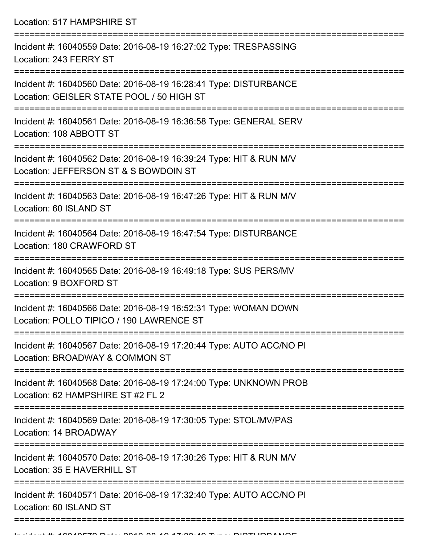Location: 517 HAMPSHIRE ST =========================================================================== Incident #: 16040559 Date: 2016-08-19 16:27:02 Type: TRESPASSING Location: 243 FERRY ST =========================================================================== Incident #: 16040560 Date: 2016-08-19 16:28:41 Type: DISTURBANCE Location: GEISLER STATE POOL / 50 HIGH ST =========================================================================== Incident #: 16040561 Date: 2016-08-19 16:36:58 Type: GENERAL SERV Location: 108 ABBOTT ST =========================================================================== Incident #: 16040562 Date: 2016-08-19 16:39:24 Type: HIT & RUN M/V Location: JEFFERSON ST & S BOWDOIN ST =========================================================================== Incident #: 16040563 Date: 2016-08-19 16:47:26 Type: HIT & RUN M/V Location: 60 ISLAND ST =========================================================================== Incident #: 16040564 Date: 2016-08-19 16:47:54 Type: DISTURBANCE Location: 180 CRAWFORD ST =========================================================================== Incident #: 16040565 Date: 2016-08-19 16:49:18 Type: SUS PERS/MV Location: 9 BOXFORD ST =========================================================================== Incident #: 16040566 Date: 2016-08-19 16:52:31 Type: WOMAN DOWN Location: POLLO TIPICO / 190 LAWRENCE ST =========================================================================== Incident #: 16040567 Date: 2016-08-19 17:20:44 Type: AUTO ACC/NO PI Location: BROADWAY & COMMON ST =========================================================================== Incident #: 16040568 Date: 2016-08-19 17:24:00 Type: UNKNOWN PROB Location: 62 HAMPSHIRF ST #2 FL 2 =========================================================================== Incident #: 16040569 Date: 2016-08-19 17:30:05 Type: STOL/MV/PAS Location: 14 BROADWAY =========================================================================== Incident #: 16040570 Date: 2016-08-19 17:30:26 Type: HIT & RUN M/V Location: 35 F HAVERHILL ST =========================================================================== Incident #: 16040571 Date: 2016-08-19 17:32:40 Type: AUTO ACC/NO PI Location: 60 ISLAND ST

===========================================================================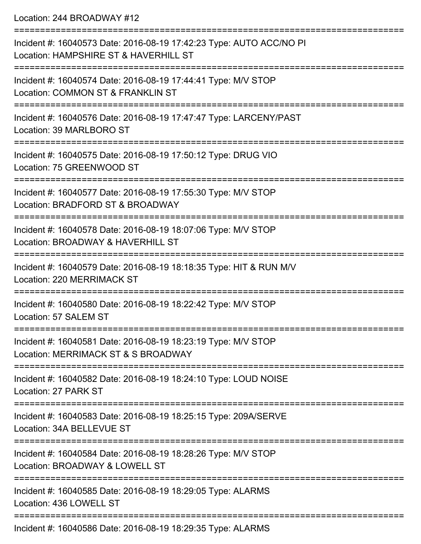Location: 244 BROADWAY #12

| Incident #: 16040573 Date: 2016-08-19 17:42:23 Type: AUTO ACC/NO PI<br>Location: HAMPSHIRE ST & HAVERHILL ST |
|--------------------------------------------------------------------------------------------------------------|
| Incident #: 16040574 Date: 2016-08-19 17:44:41 Type: M/V STOP<br>Location: COMMON ST & FRANKLIN ST           |
| Incident #: 16040576 Date: 2016-08-19 17:47:47 Type: LARCENY/PAST<br>Location: 39 MARLBORO ST                |
| Incident #: 16040575 Date: 2016-08-19 17:50:12 Type: DRUG VIO<br>Location: 75 GREENWOOD ST                   |
| Incident #: 16040577 Date: 2016-08-19 17:55:30 Type: M/V STOP<br>Location: BRADFORD ST & BROADWAY            |
| Incident #: 16040578 Date: 2016-08-19 18:07:06 Type: M/V STOP<br>Location: BROADWAY & HAVERHILL ST           |
| Incident #: 16040579 Date: 2016-08-19 18:18:35 Type: HIT & RUN M/V<br>Location: 220 MERRIMACK ST             |
| Incident #: 16040580 Date: 2016-08-19 18:22:42 Type: M/V STOP<br>Location: 57 SALEM ST                       |
| Incident #: 16040581 Date: 2016-08-19 18:23:19 Type: M/V STOP<br>Location: MERRIMACK ST & S BROADWAY         |
| Incident #: 16040582 Date: 2016-08-19 18:24:10 Type: LOUD NOISE<br>Location: 27 PARK ST                      |
| Incident #: 16040583 Date: 2016-08-19 18:25:15 Type: 209A/SERVE<br>Location: 34A BELLEVUE ST                 |
| Incident #: 16040584 Date: 2016-08-19 18:28:26 Type: M/V STOP<br>Location: BROADWAY & LOWELL ST              |
| Incident #: 16040585 Date: 2016-08-19 18:29:05 Type: ALARMS<br>Location: 436 LOWELL ST                       |
|                                                                                                              |

Incident #: 16040586 Date: 2016-08-19 18:29:35 Type: ALARMS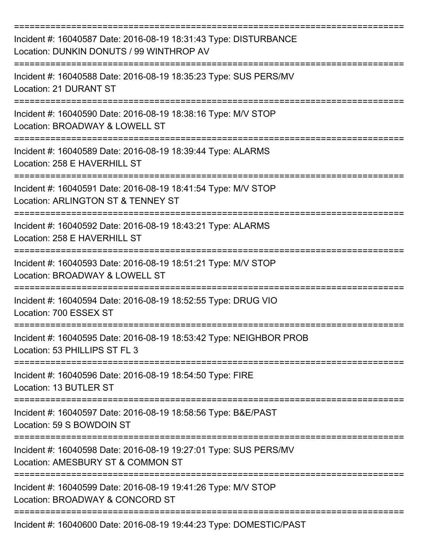| Incident #: 16040587 Date: 2016-08-19 18:31:43 Type: DISTURBANCE<br>Location: DUNKIN DONUTS / 99 WINTHROP AV |
|--------------------------------------------------------------------------------------------------------------|
| Incident #: 16040588 Date: 2016-08-19 18:35:23 Type: SUS PERS/MV<br>Location: 21 DURANT ST                   |
| Incident #: 16040590 Date: 2016-08-19 18:38:16 Type: M/V STOP<br>Location: BROADWAY & LOWELL ST              |
| Incident #: 16040589 Date: 2016-08-19 18:39:44 Type: ALARMS<br>Location: 258 E HAVERHILL ST                  |
| Incident #: 16040591 Date: 2016-08-19 18:41:54 Type: M/V STOP<br>Location: ARLINGTON ST & TENNEY ST          |
| Incident #: 16040592 Date: 2016-08-19 18:43:21 Type: ALARMS<br>Location: 258 E HAVERHILL ST                  |
| Incident #: 16040593 Date: 2016-08-19 18:51:21 Type: M/V STOP<br>Location: BROADWAY & LOWELL ST              |
| Incident #: 16040594 Date: 2016-08-19 18:52:55 Type: DRUG VIO<br>Location: 700 ESSEX ST                      |
| Incident #: 16040595 Date: 2016-08-19 18:53:42 Type: NEIGHBOR PROB<br>Location: 53 PHILLIPS ST FL 3          |
| Incident #: 16040596 Date: 2016-08-19 18:54:50 Type: FIRE<br>Location: 13 BUTLER ST                          |
| Incident #: 16040597 Date: 2016-08-19 18:58:56 Type: B&E/PAST<br>Location: 59 S BOWDOIN ST                   |
| Incident #: 16040598 Date: 2016-08-19 19:27:01 Type: SUS PERS/MV<br>Location: AMESBURY ST & COMMON ST        |
| Incident #: 16040599 Date: 2016-08-19 19:41:26 Type: M/V STOP<br>Location: BROADWAY & CONCORD ST             |
| Incident #: 16040600 Date: 2016-08-19 19:44:23 Type: DOMESTIC/PAST                                           |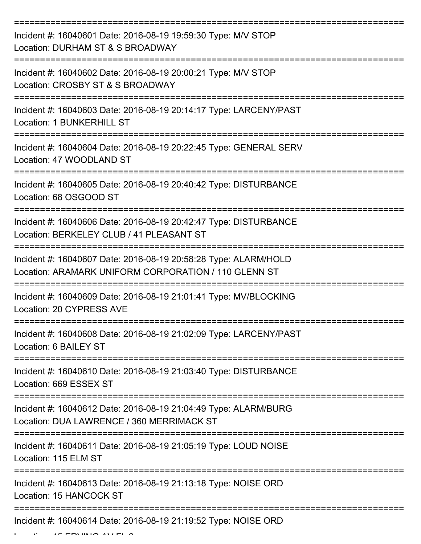| Incident #: 16040601 Date: 2016-08-19 19:59:30 Type: M/V STOP<br>Location: DURHAM ST & S BROADWAY                                 |
|-----------------------------------------------------------------------------------------------------------------------------------|
| Incident #: 16040602 Date: 2016-08-19 20:00:21 Type: M/V STOP<br>Location: CROSBY ST & S BROADWAY                                 |
| Incident #: 16040603 Date: 2016-08-19 20:14:17 Type: LARCENY/PAST<br><b>Location: 1 BUNKERHILL ST</b>                             |
| Incident #: 16040604 Date: 2016-08-19 20:22:45 Type: GENERAL SERV<br>Location: 47 WOODLAND ST                                     |
| Incident #: 16040605 Date: 2016-08-19 20:40:42 Type: DISTURBANCE<br>Location: 68 OSGOOD ST<br>=================================== |
| Incident #: 16040606 Date: 2016-08-19 20:42:47 Type: DISTURBANCE<br>Location: BERKELEY CLUB / 41 PLEASANT ST                      |
| Incident #: 16040607 Date: 2016-08-19 20:58:28 Type: ALARM/HOLD<br>Location: ARAMARK UNIFORM CORPORATION / 110 GLENN ST           |
| Incident #: 16040609 Date: 2016-08-19 21:01:41 Type: MV/BLOCKING<br>Location: 20 CYPRESS AVE                                      |
| Incident #: 16040608 Date: 2016-08-19 21:02:09 Type: LARCENY/PAST<br>Location: 6 BAILEY ST                                        |
| Incident #: 16040610 Date: 2016-08-19 21:03:40 Type: DISTURBANCE<br>Location: 669 ESSEX ST                                        |
| Incident #: 16040612 Date: 2016-08-19 21:04:49 Type: ALARM/BURG<br>Location: DUA LAWRENCE / 360 MERRIMACK ST                      |
| Incident #: 16040611 Date: 2016-08-19 21:05:19 Type: LOUD NOISE<br>Location: 115 ELM ST                                           |
| Incident #: 16040613 Date: 2016-08-19 21:13:18 Type: NOISE ORD<br>Location: 15 HANCOCK ST                                         |
| Incident #: 16040614 Date: 2016-08-19 21:19:52 Type: NOISE ORD                                                                    |

 $L = L$  .  $L = L$  FM  $\mu$   $\lambda$   $\mu$   $\lambda$   $\lambda$   $\mu$   $\mu$   $\lambda$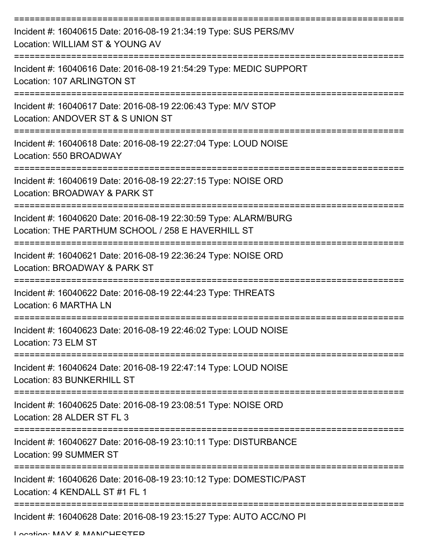| Incident #: 16040615 Date: 2016-08-19 21:34:19 Type: SUS PERS/MV<br>Location: WILLIAM ST & YOUNG AV                  |
|----------------------------------------------------------------------------------------------------------------------|
| Incident #: 16040616 Date: 2016-08-19 21:54:29 Type: MEDIC SUPPORT<br>Location: 107 ARLINGTON ST<br>---------------- |
| Incident #: 16040617 Date: 2016-08-19 22:06:43 Type: M/V STOP<br>Location: ANDOVER ST & S UNION ST                   |
| Incident #: 16040618 Date: 2016-08-19 22:27:04 Type: LOUD NOISE<br>Location: 550 BROADWAY                            |
| Incident #: 16040619 Date: 2016-08-19 22:27:15 Type: NOISE ORD<br>Location: BROADWAY & PARK ST                       |
| Incident #: 16040620 Date: 2016-08-19 22:30:59 Type: ALARM/BURG<br>Location: THE PARTHUM SCHOOL / 258 E HAVERHILL ST |
| Incident #: 16040621 Date: 2016-08-19 22:36:24 Type: NOISE ORD<br>Location: BROADWAY & PARK ST                       |
| Incident #: 16040622 Date: 2016-08-19 22:44:23 Type: THREATS<br>Location: 6 MARTHA LN                                |
| Incident #: 16040623 Date: 2016-08-19 22:46:02 Type: LOUD NOISE<br>Location: 73 ELM ST                               |
| Incident #: 16040624 Date: 2016-08-19 22:47:14 Type: LOUD NOISE<br>Location: 83 BUNKERHILL ST                        |
| Incident #: 16040625 Date: 2016-08-19 23:08:51 Type: NOISE ORD<br>Location: 28 ALDER ST FL 3                         |
| Incident #: 16040627 Date: 2016-08-19 23:10:11 Type: DISTURBANCE<br>Location: 99 SUMMER ST                           |
| Incident #: 16040626 Date: 2016-08-19 23:10:12 Type: DOMESTIC/PAST<br>Location: 4 KENDALL ST #1 FL 1                 |
| Incident #: 16040628 Date: 2016-08-19 23:15:27 Type: AUTO ACC/NO PI                                                  |

Location: MAY & MANCHESTER